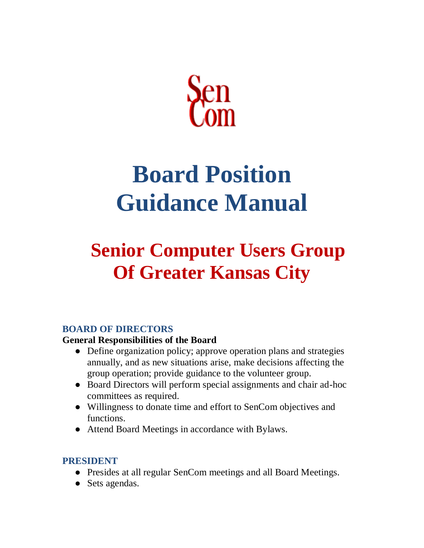

# **Board Position Guidance Manual**

# **Senior Computer Users Group Of Greater Kansas City**

# **BOARD OF DIRECTORS**

#### **General Responsibilities of the Board**

- Define organization policy; approve operation plans and strategies annually, and as new situations arise, make decisions affecting the group operation; provide guidance to the volunteer group.
- Board Directors will perform special assignments and chair ad-hoc committees as required.
- Willingness to donate time and effort to SenCom objectives and functions.
- Attend Board Meetings in accordance with Bylaws.

## **PRESIDENT**

- Presides at all regular SenCom meetings and all Board Meetings.
- Sets agendas.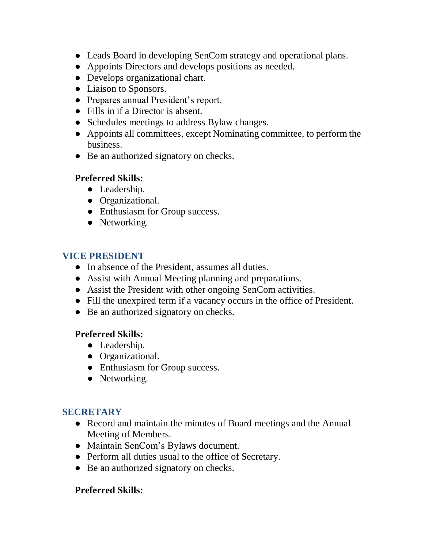- Leads Board in developing SenCom strategy and operational plans.
- Appoints Directors and develops positions as needed.
- Develops organizational chart.
- Liaison to Sponsors.
- Prepares annual President's report.
- Fills in if a Director is absent.
- Schedules meetings to address Bylaw changes.
- Appoints all committees, except Nominating committee, to perform the business.
- Be an authorized signatory on checks.

# **Preferred Skills:**

- Leadership.
- Organizational.
- Enthusiasm for Group success.
- Networking.

# **VICE PRESIDENT**

- In absence of the President, assumes all duties.
- Assist with Annual Meeting planning and preparations.
- Assist the President with other ongoing SenCom activities.
- Fill the unexpired term if a vacancy occurs in the office of President.
- Be an authorized signatory on checks.

## **Preferred Skills:**

- Leadership.
- Organizational.
- Enthusiasm for Group success.
- Networking.

## **SECRETARY**

- Record and maintain the minutes of Board meetings and the Annual Meeting of Members.
- Maintain SenCom's Bylaws document.
- Perform all duties usual to the office of Secretary.
- Be an authorized signatory on checks.

## **Preferred Skills:**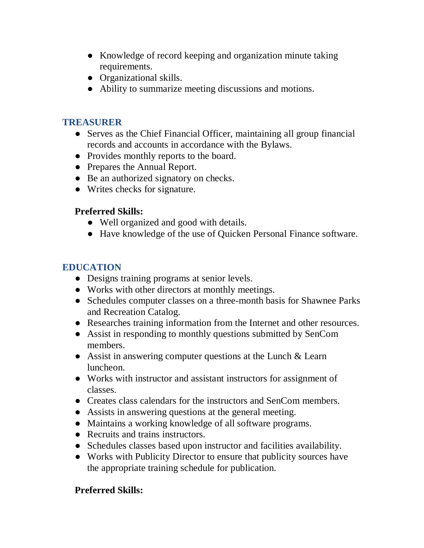- Knowledge of record keeping and organization minute taking requirements.
- Organizational skills.
- Ability to summarize meeting discussions and motions.

## **TREASURER**

- Serves as the Chief Financial Officer, maintaining all group financial records and accounts in accordance with the Bylaws.
- Provides monthly reports to the board.
- Prepares the Annual Report.
- Be an authorized signatory on checks.
- Writes checks for signature.

## **Preferred Skills:**

- Well organized and good with details.
- Have knowledge of the use of Quicken Personal Finance software.

# **EDUCATION**

- Designs training programs at senior levels.
- Works with other directors at monthly meetings.
- Schedules computer classes on a three-month basis for Shawnee Parks and Recreation Catalog.
- Researches training information from the Internet and other resources.
- Assist in responding to monthly questions submitted by SenCom members.
- Assist in answering computer questions at the Lunch & Learn luncheon.
- Works with instructor and assistant instructors for assignment of classes.
- Creates class calendars for the instructors and SenCom members.
- Assists in answering questions at the general meeting.
- Maintains a working knowledge of all software programs.
- Recruits and trains instructors.
- Schedules classes based upon instructor and facilities availability.
- Works with Publicity Director to ensure that publicity sources have the appropriate training schedule for publication.

## **Preferred Skills:**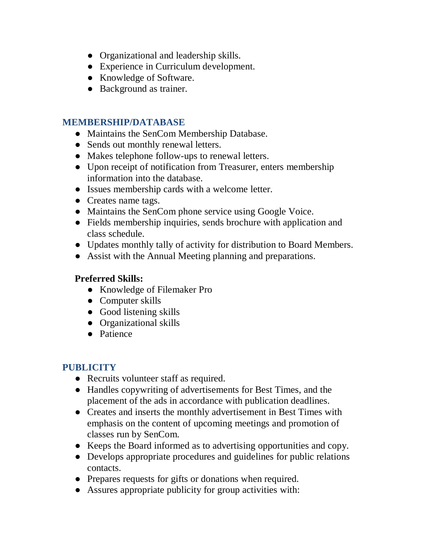- Organizational and leadership skills.
- Experience in Curriculum development.
- Knowledge of Software.
- Background as trainer.

#### **MEMBERSHIP/DATABASE**

- Maintains the SenCom Membership Database.
- Sends out monthly renewal letters.
- Makes telephone follow-ups to renewal letters.
- Upon receipt of notification from Treasurer, enters membership information into the database.
- Issues membership cards with a welcome letter.
- Creates name tags.
- Maintains the SenCom phone service using Google Voice.
- Fields membership inquiries, sends brochure with application and class schedule.
- Updates monthly tally of activity for distribution to Board Members.
- Assist with the Annual Meeting planning and preparations.

#### **Preferred Skills:**

- Knowledge of Filemaker Pro
- Computer skills
- Good listening skills
- Organizational skills
- Patience

## **PUBLICITY**

- Recruits volunteer staff as required.
- Handles copywriting of advertisements for Best Times, and the placement of the ads in accordance with publication deadlines.
- Creates and inserts the monthly advertisement in Best Times with emphasis on the content of upcoming meetings and promotion of classes run by SenCom.
- Keeps the Board informed as to advertising opportunities and copy.
- Develops appropriate procedures and guidelines for public relations contacts.
- Prepares requests for gifts or donations when required.
- Assures appropriate publicity for group activities with: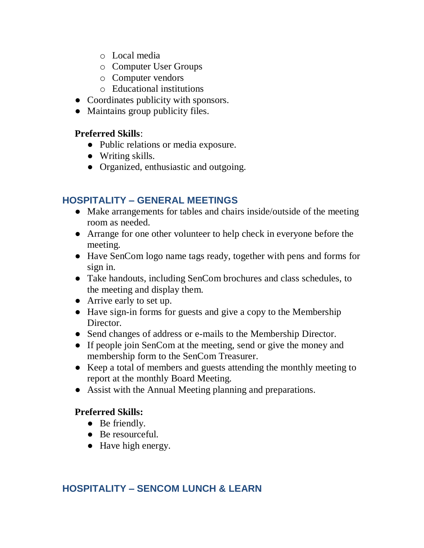- o Local media
- o Computer User Groups
- o Computer vendors
- o Educational institutions
- Coordinates publicity with sponsors.
- Maintains group publicity files.

#### **Preferred Skills**:

- Public relations or media exposure.
- Writing skills.
- Organized, enthusiastic and outgoing.

#### **HOSPITALITY – GENERAL MEETINGS**

- Make arrangements for tables and chairs inside/outside of the meeting room as needed.
- Arrange for one other volunteer to help check in everyone before the meeting.
- Have SenCom logo name tags ready, together with pens and forms for sign in.
- Take handouts, including SenCom brochures and class schedules, to the meeting and display them.
- Arrive early to set up.
- Have sign-in forms for guests and give a copy to the Membership Director.
- Send changes of address or e-mails to the Membership Director.
- If people join SenCom at the meeting, send or give the money and membership form to the SenCom Treasurer.
- Keep a total of members and guests attending the monthly meeting to report at the monthly Board Meeting.
- Assist with the Annual Meeting planning and preparations.

#### **Preferred Skills:**

- Be friendly.
- Be resourceful.
- Have high energy.

## **HOSPITALITY – SENCOM LUNCH & LEARN**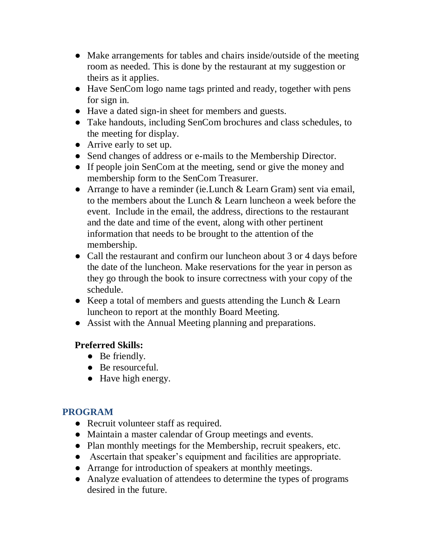- Make arrangements for tables and chairs inside/outside of the meeting room as needed. This is done by the restaurant at my suggestion or theirs as it applies.
- Have SenCom logo name tags printed and ready, together with pens for sign in.
- Have a dated sign-in sheet for members and guests.
- Take handouts, including SenCom brochures and class schedules, to the meeting for display.
- Arrive early to set up.
- Send changes of address or e-mails to the Membership Director.
- If people join SenCom at the meeting, send or give the money and membership form to the SenCom Treasurer.
- Arrange to have a reminder (ie. Lunch & Learn Gram) sent via email, to the members about the Lunch & Learn luncheon a week before the event. Include in the email, the address, directions to the restaurant and the date and time of the event, along with other pertinent information that needs to be brought to the attention of the membership.
- Call the restaurant and confirm our luncheon about 3 or 4 days before the date of the luncheon. Make reservations for the year in person as they go through the book to insure correctness with your copy of the schedule.
- Keep a total of members and guests attending the Lunch & Learn luncheon to report at the monthly Board Meeting.
- Assist with the Annual Meeting planning and preparations.

# **Preferred Skills:**

- Be friendly.
- Be resourceful.
- Have high energy.

## **PROGRAM**

- Recruit volunteer staff as required.
- Maintain a master calendar of Group meetings and events.
- Plan monthly meetings for the Membership, recruit speakers, etc.
- Ascertain that speaker's equipment and facilities are appropriate.
- Arrange for introduction of speakers at monthly meetings.
- Analyze evaluation of attendees to determine the types of programs desired in the future.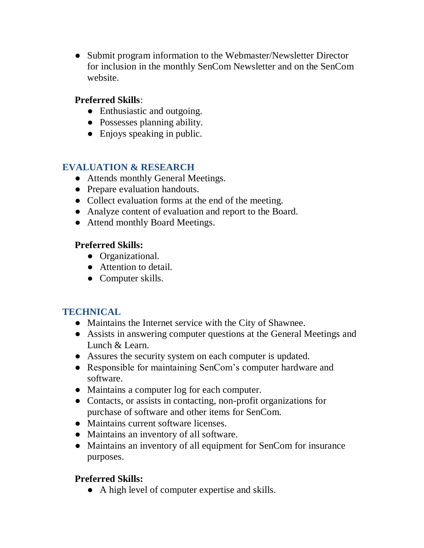● Submit program information to the Webmaster/Newsletter Director for inclusion in the monthly SenCom Newsletter and on the SenCom website.

#### **Preferred Skills**:

- Enthusiastic and outgoing.
- Possesses planning ability.
- Enjoys speaking in public.

# **EVALUATION & RESEARCH**

- Attends monthly General Meetings.
- Prepare evaluation handouts.
- Collect evaluation forms at the end of the meeting.
- Analyze content of evaluation and report to the Board.
- Attend monthly Board Meetings.

## **Preferred Skills:**

- Organizational.
- Attention to detail.
- Computer skills.

## **TECHNICAL**

- Maintains the Internet service with the City of Shawnee.
- Assists in answering computer questions at the General Meetings and Lunch & Learn.
- Assures the security system on each computer is updated.
- Responsible for maintaining SenCom's computer hardware and software.
- Maintains a computer log for each computer.
- Contacts, or assists in contacting, non-profit organizations for purchase of software and other items for SenCom.
- Maintains current software licenses.
- Maintains an inventory of all software.
- Maintains an inventory of all equipment for SenCom for insurance purposes.

## **Preferred Skills:**

● A high level of computer expertise and skills.